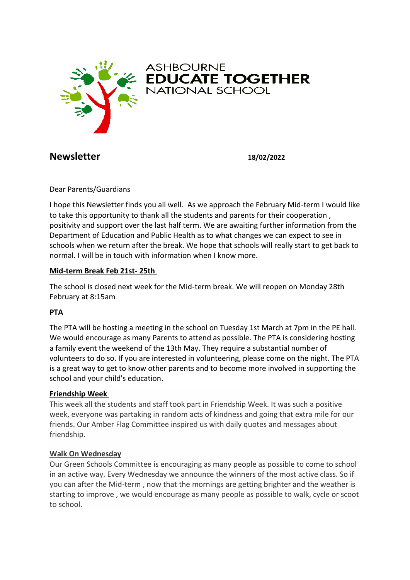

ASHBOURNE<br>**EDUCATE TOGETHER**<br>NATIONAL SCHOOL

# **Newsletter 18/02/2022**

Dear Parents/Guardians

I hope this Newsletter finds you all well. As we approach the February Mid-term I would like to take this opportunity to thank all the students and parents for their cooperation , positivity and support over the last half term. We are awaiting further information from the Department of Education and Public Health as to what changes we can expect to see in schools when we return after the break. We hope that schools will really start to get back to normal. I will be in touch with information when I know more.

#### **Mid-term Break Feb 21st- 25th**

The school is closed next week for the Mid-term break. We will reopen on Monday 28th February at 8:15am

### **PTA**

The PTA will be hosting a meeting in the school on Tuesday 1st March at 7pm in the PE hall. We would encourage as many Parents to attend as possible. The PTA is considering hosting a family event the weekend of the 13th May. They require a substantial number of volunteers to do so. If you are interested in volunteering, please come on the night. The PTA is a great way to get to know other parents and to become more involved in supporting the school and your child's education.

#### **Friendship Week**

This week all the students and staff took part in Friendship Week. It was such a positive week, everyone was partaking in random acts of kindness and going that extra mile for our friends. Our Amber Flag Committee inspired us with daily quotes and messages about friendship.

#### **Walk On Wednesday**

Our Green Schools Committee is encouraging as many people as possible to come to school in an active way. Every Wednesday we announce the winners of the most active class. So if you can after the Mid-term , now that the mornings are getting brighter and the weather is starting to improve , we would encourage as many people as possible to walk, cycle or scoot to school.